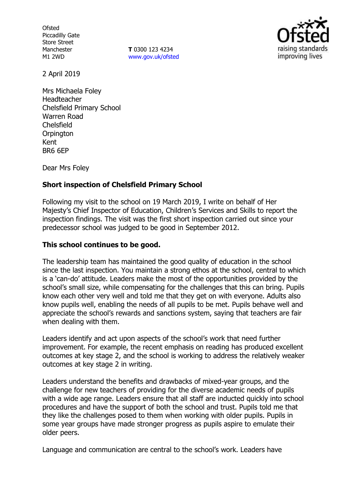**Ofsted** Piccadilly Gate Store Street Manchester M1 2WD

**T** 0300 123 4234 www.gov.uk/ofsted



2 April 2019

Mrs Michaela Foley Headteacher Chelsfield Primary School Warren Road Chelsfield **Orpington** Kent BR6 6EP

Dear Mrs Foley

# **Short inspection of Chelsfield Primary School**

Following my visit to the school on 19 March 2019, I write on behalf of Her Majesty's Chief Inspector of Education, Children's Services and Skills to report the inspection findings. The visit was the first short inspection carried out since your predecessor school was judged to be good in September 2012.

## **This school continues to be good.**

The leadership team has maintained the good quality of education in the school since the last inspection. You maintain a strong ethos at the school, central to which is a 'can-do' attitude. Leaders make the most of the opportunities provided by the school's small size, while compensating for the challenges that this can bring. Pupils know each other very well and told me that they get on with everyone. Adults also know pupils well, enabling the needs of all pupils to be met. Pupils behave well and appreciate the school's rewards and sanctions system, saying that teachers are fair when dealing with them.

Leaders identify and act upon aspects of the school's work that need further improvement. For example, the recent emphasis on reading has produced excellent outcomes at key stage 2, and the school is working to address the relatively weaker outcomes at key stage 2 in writing.

Leaders understand the benefits and drawbacks of mixed-year groups, and the challenge for new teachers of providing for the diverse academic needs of pupils with a wide age range. Leaders ensure that all staff are inducted quickly into school procedures and have the support of both the school and trust. Pupils told me that they like the challenges posed to them when working with older pupils. Pupils in some year groups have made stronger progress as pupils aspire to emulate their older peers.

Language and communication are central to the school's work. Leaders have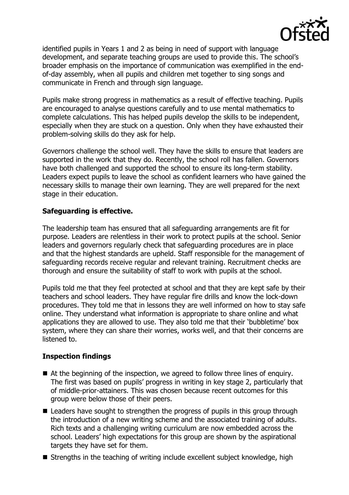

identified pupils in Years 1 and 2 as being in need of support with language development, and separate teaching groups are used to provide this. The school's broader emphasis on the importance of communication was exemplified in the endof-day assembly, when all pupils and children met together to sing songs and communicate in French and through sign language.

Pupils make strong progress in mathematics as a result of effective teaching. Pupils are encouraged to analyse questions carefully and to use mental mathematics to complete calculations. This has helped pupils develop the skills to be independent, especially when they are stuck on a question. Only when they have exhausted their problem-solving skills do they ask for help.

Governors challenge the school well. They have the skills to ensure that leaders are supported in the work that they do. Recently, the school roll has fallen. Governors have both challenged and supported the school to ensure its long-term stability. Leaders expect pupils to leave the school as confident learners who have gained the necessary skills to manage their own learning. They are well prepared for the next stage in their education.

# **Safeguarding is effective.**

The leadership team has ensured that all safeguarding arrangements are fit for purpose. Leaders are relentless in their work to protect pupils at the school. Senior leaders and governors regularly check that safeguarding procedures are in place and that the highest standards are upheld. Staff responsible for the management of safeguarding records receive regular and relevant training. Recruitment checks are thorough and ensure the suitability of staff to work with pupils at the school.

Pupils told me that they feel protected at school and that they are kept safe by their teachers and school leaders. They have regular fire drills and know the lock-down procedures. They told me that in lessons they are well informed on how to stay safe online. They understand what information is appropriate to share online and what applications they are allowed to use. They also told me that their 'bubbletime' box system, where they can share their worries, works well, and that their concerns are listened to.

## **Inspection findings**

- At the beginning of the inspection, we agreed to follow three lines of enquiry. The first was based on pupils' progress in writing in key stage 2, particularly that of middle-prior-attainers. This was chosen because recent outcomes for this group were below those of their peers.
- Leaders have sought to strengthen the progress of pupils in this group through the introduction of a new writing scheme and the associated training of adults. Rich texts and a challenging writing curriculum are now embedded across the school. Leaders' high expectations for this group are shown by the aspirational targets they have set for them.
- Strengths in the teaching of writing include excellent subject knowledge, high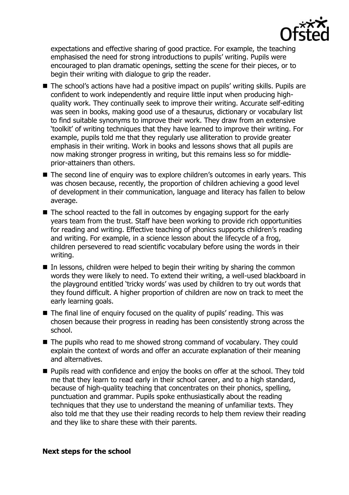

expectations and effective sharing of good practice. For example, the teaching emphasised the need for strong introductions to pupils' writing. Pupils were encouraged to plan dramatic openings, setting the scene for their pieces, or to begin their writing with dialogue to grip the reader.

- The school's actions have had a positive impact on pupils' writing skills. Pupils are confident to work independently and require little input when producing highquality work. They continually seek to improve their writing. Accurate self-editing was seen in books, making good use of a thesaurus, dictionary or vocabulary list to find suitable synonyms to improve their work. They draw from an extensive 'toolkit' of writing techniques that they have learned to improve their writing. For example, pupils told me that they regularly use alliteration to provide greater emphasis in their writing. Work in books and lessons shows that all pupils are now making stronger progress in writing, but this remains less so for middleprior-attainers than others.
- The second line of enquiry was to explore children's outcomes in early years. This was chosen because, recently, the proportion of children achieving a good level of development in their communication, language and literacy has fallen to below average.
- The school reacted to the fall in outcomes by engaging support for the early years team from the trust. Staff have been working to provide rich opportunities for reading and writing. Effective teaching of phonics supports children's reading and writing. For example, in a science lesson about the lifecycle of a frog, children persevered to read scientific vocabulary before using the words in their writing.
- $\blacksquare$  In lessons, children were helped to begin their writing by sharing the common words they were likely to need. To extend their writing, a well-used blackboard in the playground entitled 'tricky words' was used by children to try out words that they found difficult. A higher proportion of children are now on track to meet the early learning goals.
- The final line of enquiry focused on the quality of pupils' reading. This was chosen because their progress in reading has been consistently strong across the school.
- The pupils who read to me showed strong command of vocabulary. They could explain the context of words and offer an accurate explanation of their meaning and alternatives.
- **Pupils read with confidence and enjoy the books on offer at the school. They told** me that they learn to read early in their school career, and to a high standard, because of high-quality teaching that concentrates on their phonics, spelling, punctuation and grammar. Pupils spoke enthusiastically about the reading techniques that they use to understand the meaning of unfamiliar texts. They also told me that they use their reading records to help them review their reading and they like to share these with their parents.

### **Next steps for the school**